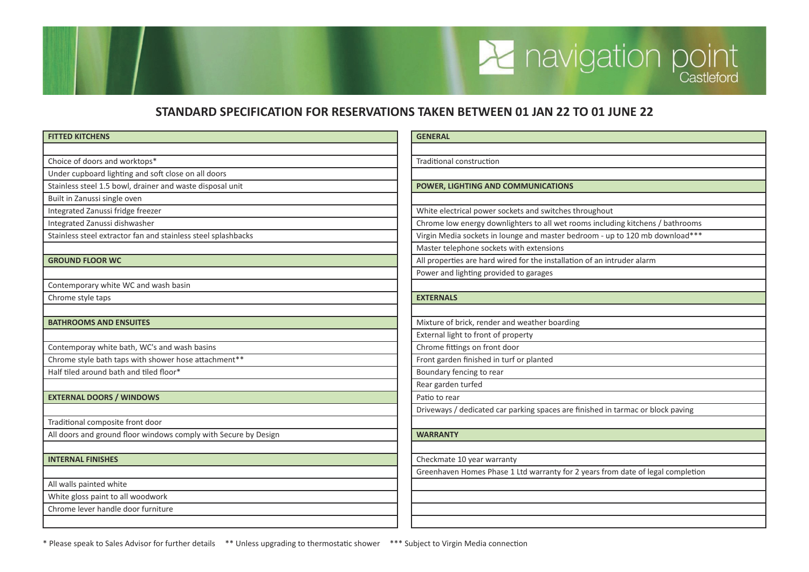## **STANDARD SPECIFICATION FOR RESERVATIONS TAKEN BETWEEN 01 JAN 22 TO 01 JUNE 22**

**A** navigation point

| <b>FITTED KITCHENS</b>                                          | <b>GENERAL</b>                                                                  |
|-----------------------------------------------------------------|---------------------------------------------------------------------------------|
|                                                                 |                                                                                 |
| Choice of doors and worktops*                                   | <b>Traditional construction</b>                                                 |
| Under cupboard lighting and soft close on all doors             |                                                                                 |
| Stainless steel 1.5 bowl, drainer and waste disposal unit       | POWER, LIGHTING AND COMMUNICATIONS                                              |
| Built in Zanussi single oven                                    |                                                                                 |
| Integrated Zanussi fridge freezer                               | White electrical power sockets and switches throughout                          |
| Integrated Zanussi dishwasher                                   | Chrome low energy downlighters to all wet rooms including kitchens / bathrooms  |
| Stainless steel extractor fan and stainless steel splashbacks   | Virgin Media sockets in lounge and master bedroom - up to 120 mb download***    |
|                                                                 | Master telephone sockets with extensions                                        |
| <b>GROUND FLOOR WC</b>                                          | All properties are hard wired for the installation of an intruder alarm         |
|                                                                 | Power and lighting provided to garages                                          |
| Contemporary white WC and wash basin                            |                                                                                 |
| Chrome style taps                                               | <b>EXTERNALS</b>                                                                |
|                                                                 |                                                                                 |
| <b>BATHROOMS AND ENSUITES</b>                                   | Mixture of brick, render and weather boarding                                   |
|                                                                 | External light to front of property                                             |
| Contemporay white bath, WC's and wash basins                    | Chrome fittings on front door                                                   |
| Chrome style bath taps with shower hose attachment**            | Front garden finished in turf or planted                                        |
| Half tiled around bath and tiled floor*                         | Boundary fencing to rear                                                        |
|                                                                 | Rear garden turfed                                                              |
| <b>EXTERNAL DOORS / WINDOWS</b>                                 | Patio to rear                                                                   |
|                                                                 | Driveways / dedicated car parking spaces are finished in tarmac or block paving |
| Traditional composite front door                                |                                                                                 |
| All doors and ground floor windows comply with Secure by Design | <b>WARRANTY</b>                                                                 |
|                                                                 |                                                                                 |
| <b>INTERNAL FINISHES</b>                                        | Checkmate 10 year warranty                                                      |
|                                                                 | Greenhaven Homes Phase 1 Ltd warranty for 2 years from date of legal completion |
| All walls painted white                                         |                                                                                 |
| White gloss paint to all woodwork                               |                                                                                 |
| Chrome lever handle door furniture                              |                                                                                 |
|                                                                 |                                                                                 |